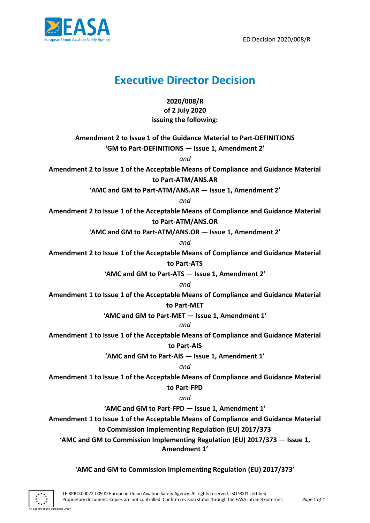

# **Executive Director Decision**

**2020/008/R of 2 July 2020 issuing the following:**

**Amendment 2 to Issue 1 of the Guidance Material to Part-DEFINITIONS**

**'GM to Part-DEFINITIONS — Issue 1, Amendment 2'**

*and*

**Amendment 2 to Issue 1 of the Acceptable Means of Compliance and Guidance Material to Part-ATM/ANS.AR**

**'AMC and GM to Part-ATM/ANS.AR — Issue 1, Amendment 2'**

*and*

**Amendment 2 to Issue 1 of the Acceptable Means of Compliance and Guidance Material to Part-ATM/ANS.OR**

**'AMC and GM to Part-ATM/ANS.OR — Issue 1, Amendment 2'**

*and*

**Amendment 2 to Issue 1 of the Acceptable Means of Compliance and Guidance Material to Part-ATS**

**'AMC and GM to Part-ATS — Issue 1, Amendment 2'**

*and*

**Amendment 1 to Issue 1 of the Acceptable Means of Compliance and Guidance Material** 

# **to Part-MET**

**'AMC and GM to Part-MET — Issue 1, Amendment 1'**

# *and*

**Amendment 1 to Issue 1 of the Acceptable Means of Compliance and Guidance Material** 

# **to Part-AIS**

**'AMC and GM to Part-AIS — Issue 1, Amendment 1'**

*and*

**Amendment 1 to Issue 1 of the Acceptable Means of Compliance and Guidance Material** 

**to Part-FPD**

*and*

**'AMC and GM to Part-FPD — Issue 1, Amendment 1'**

**Amendment 1 to Issue 1 of the Acceptable Means of Compliance and Guidance Material** 

# **to Commission Implementing Regulation (EU) 2017/373**

**'AMC and GM to Commission Implementing Regulation (EU) 2017/373 — Issue 1, Amendment 1'**

'**AMC and GM to Commission Implementing Regulation (EU) 2017/373'**

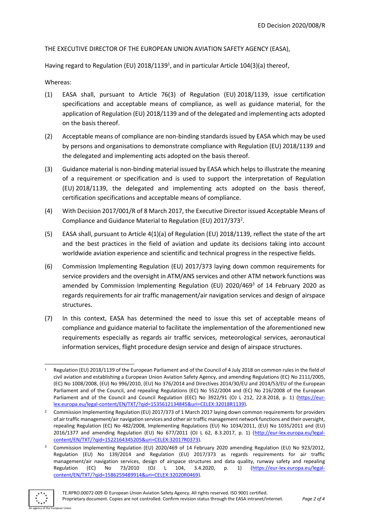#### THE EXECUTIVE DIRECTOR OF THE EUROPEAN UNION AVIATION SAFETY AGENCY (EASA),

Having regard to Regulation (EU) 2018/1139<sup>1</sup>, and in particular Article 104(3)(a) thereof,

Whereas:

- (1) EASA shall, pursuant to Article 76(3) of Regulation (EU) 2018/1139, issue certification specifications and acceptable means of compliance, as well as guidance material, for the application of Regulation (EU) 2018/1139 and of the delegated and implementing acts adopted on the basis thereof.
- (2) Acceptable means of compliance are non-binding standards issued by EASA which may be used by persons and organisations to demonstrate compliance with Regulation (EU) 2018/1139 and the delegated and implementing acts adopted on the basis thereof.
- (3) Guidance material is non-binding material issued by EASA which helps to illustrate the meaning of a requirement or specification and is used to support the interpretation of Regulation (EU) 2018/1139, the delegated and implementing acts adopted on the basis thereof, certification specifications and acceptable means of compliance.
- (4) With Decision 2017/001/R of 8 March 2017, the Executive Director issued Acceptable Means of Compliance and Guidance Material to Regulation (EU) 2017/373<sup>2</sup>.
- (5) EASA shall, pursuant to Article 4(1)(a) of Regulation (EU) 2018/1139, reflect the state of the art and the best practices in the field of aviation and update its decisions taking into account worldwide aviation experience and scientific and technical progress in the respective fields.
- (6) Commission Implementing Regulation (EU) 2017/373 laying down common requirements for service providers and the oversight in ATM/ANS services and other ATM network functions was amended by Commission Implementing Regulation (EU) 2020/469<sup>3</sup> of 14 February 2020 as regards requirements for air traffic management/air navigation services and design of airspace structures.
- (7) In this context, EASA has determined the need to issue this set of acceptable means of compliance and guidance material to facilitate the implementation of the aforementioned new requirements especially as regards air traffic services, meteorological services, aeronautical information services, flight procedure design service and design of airspace structures.

<sup>3</sup> Commission Implementing Regulation (EU) 2020/469 of 14 February 2020 amending Regulation (EU) No 923/2012, Regulation (EU) No 139/2014 and Regulation (EU) 2017/373 as regards requirements for air traffic management/air navigation services, design of airspace structures and data quality, runway safety and repealing Regulation (EC) No 73/2010 (OJ L 104, 3.4.2020, p. 1) [\(https://eur-lex.europa.eu/legal](https://eur-lex.europa.eu/legal-content/EN/TXT/?qid=1586259489914&uri=CELEX:32020R0469)[content/EN/TXT/?qid=1586259489914&uri=CELEX:32020R0469\)](https://eur-lex.europa.eu/legal-content/EN/TXT/?qid=1586259489914&uri=CELEX:32020R0469).



an Union

Regulation (EU) 2018/1139 of the European Parliament and of the Council of 4 July 2018 on common rules in the field of civil aviation and establishing a European Union Aviation Safety Agency, and amending Regulations (EC) No 2111/2005, (EC) No 1008/2008, (EU) No 996/2010, (EU) No 376/2014 and Directives 2014/30/EU and 2014/53/EU of the European Parliament and of the Council, and repealing Regulations (EC) No 552/2004 and (EC) No 216/2008 of the European Parliament and of the Council and Council Regulation (EEC) No 3922/91 (OJ L 212, 22.8.2018, p. 1) [\(https://eur](https://eur-lex.europa.eu/legal-content/EN/TXT/?qid=1535612134845&uri=CELEX:32018R1139)[lex.europa.eu/legal-content/EN/TXT/?qid=1535612134845&uri=CELEX:32018R1139\)](https://eur-lex.europa.eu/legal-content/EN/TXT/?qid=1535612134845&uri=CELEX:32018R1139).

<sup>&</sup>lt;sup>2</sup> Commission Implementing Regulation (EU) 2017/373 of 1 March 2017 laying down common requirements for providers of air traffic management/air navigation services and other air traffic management network functions and their oversight, repealing Regulation (EC) No 482/2008, Implementing Regulations (EU) No 1034/2011, (EU) No 1035/2011 and (EU) 2016/1377 and amending Regulation (EU) No 677/2011 (OJ L 62, 8.3.2017, p. 1) [\(http://eur-lex.europa.eu/legal](http://eur-lex.europa.eu/legal-content/EN/TXT/?qid=1522164345205&uri=CELEX:32017R0373)[content/EN/TXT/?qid=1522164345205&uri=CELEX:32017R0373\)](http://eur-lex.europa.eu/legal-content/EN/TXT/?qid=1522164345205&uri=CELEX:32017R0373).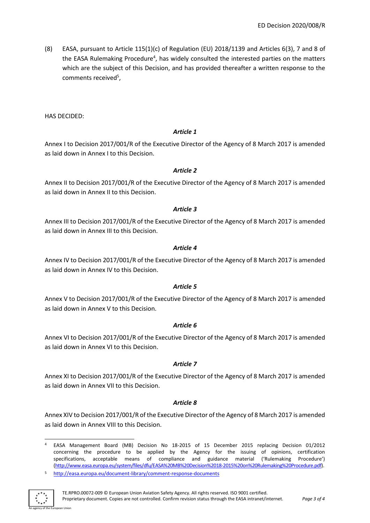(8) EASA, pursuant to Article 115(1)(c) of Regulation (EU) 2018/1139 and Articles 6(3), 7 and 8 of the EASA Rulemaking Procedure<sup>4</sup>, has widely consulted the interested parties on the matters which are the subject of this Decision, and has provided thereafter a written response to the comments received<sup>5</sup>,

HAS DECIDED:

#### *Article 1*

Annex I to Decision 2017/001/R of the Executive Director of the Agency of 8 March 2017 is amended as laid down in Annex I to this Decision.

#### *Article 2*

Annex II to Decision 2017/001/R of the Executive Director of the Agency of 8 March 2017 is amended as laid down in Annex II to this Decision.

#### *Article 3*

Annex III to Decision 2017/001/R of the Executive Director of the Agency of 8 March 2017 is amended as laid down in Annex III to this Decision.

#### *Article 4*

Annex IV to Decision 2017/001/R of the Executive Director of the Agency of 8 March 2017 is amended as laid down in Annex IV to this Decision.

# *Article 5*

Annex V to Decision 2017/001/R of the Executive Director of the Agency of 8 March 2017 is amended as laid down in Annex V to this Decision.

# *Article 6*

Annex VI to Decision 2017/001/R of the Executive Director of the Agency of 8 March 2017 is amended as laid down in Annex VI to this Decision.

# *Article 7*

Annex XI to Decision 2017/001/R of the Executive Director of the Agency of 8 March 2017 is amended as laid down in Annex VII to this Decision.

# *Article 8*

Annex XIV to Decision 2017/001/R of the Executive Director of the Agency of 8 March 2017 is amended as laid down in Annex VIII to this Decision.

<sup>5</sup> <http://easa.europa.eu/document-library/comment-response-documents>



<sup>4</sup> EASA Management Board (MB) Decision No 18-2015 of 15 December 2015 replacing Decision 01/2012 concerning the procedure to be applied by the Agency for the issuing of opinions, certification specifications, acceptable means of compliance and guidance material ('Rulemaking Procedure') [\(http://www.easa.europa.eu/system/files/dfu/EASA%20MB%20Decision%2018-2015%20on%20Rulemaking%20Procedure.pdf\)](http://www.easa.europa.eu/system/files/dfu/EASA%20MB%20Decision%2018-2015%20on%20Rulemaking%20Procedure.pdf).